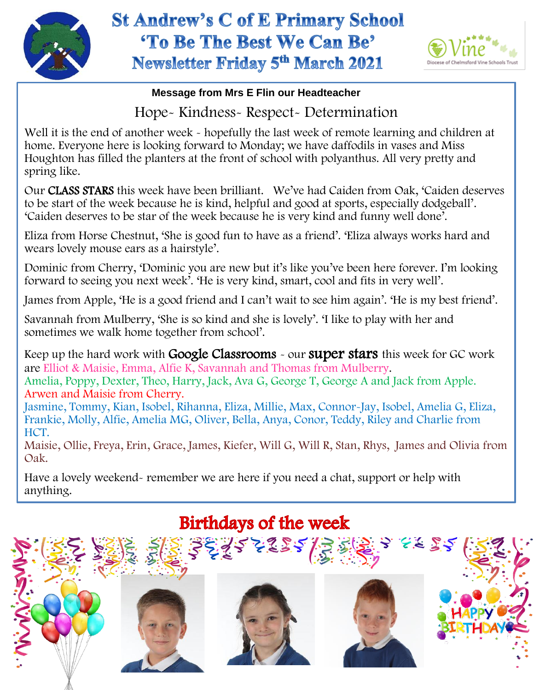

## **St Andrew's C of E Primary School** 'To Be The Best We Can Be' **Newsletter Friday 5th March 2021**



## **Message from Mrs E Flin our Headteacher**

## Hope- Kindness- Respect- Determination

Well it is the end of another week - hopefully the last week of remote learning and children at home. Everyone here is looking forward to Monday; we have daffodils in vases and Miss Houghton has filled the planters at the front of school with polyanthus. All very pretty and spring like.

Our CLASS STARS this week have been brilliant. We've had Caiden from Oak, 'Caiden deserves to be start of the week because he is kind, helpful and good at sports, especially dodgeball'. 'Caiden deserves to be star of the week because he is very kind and funny well done'.

Eliza from Horse Chestnut, 'She is good fun to have as a friend'. 'Eliza always works hard and wears lovely mouse ears as a hairstyle'.

Dominic from Cherry, 'Dominic you are new but it's like you've been here forever. I'm looking forward to seeing you next week'. 'He is very kind, smart, cool and fits in very well'.

James from Apple, 'He is a good friend and I can't wait to see him again'. 'He is my best friend'.

 Savannah from Mulberry, 'She is so kind and she is lovely'. 'I like to play with her and sometimes we walk home together from school'.

Keep up the hard work with **Google Classrooms** - our **super stars** this week for GC work are Elliot & Maisie, Emma, Alfie K, Savannah and Thomas from Mulberry.

Amelia, Poppy, Dexter, Theo, Harry, Jack, Ava G, George T, George A and Jack from Apple. Arwen and Maisie from Cherry.

Jasmine, Tommy, Kian, Isobel, Rihanna, Eliza, Millie, Max, Connor-Jay, Isobel, Amelia G, Eliza, Frankie, Molly, Alfie, Amelia MG, Oliver, Bella, Anya, Conor, Teddy, Riley and Charlie from HCT.

Maisie, Ollie, Freya, Erin, Grace, James, Kiefer, Will G, Will R, Stan, Rhys, James and Olivia from Oak.

Have a lovely weekend- remember we are here if you need a chat, support or help with anything.

## **Birthdays of the week**